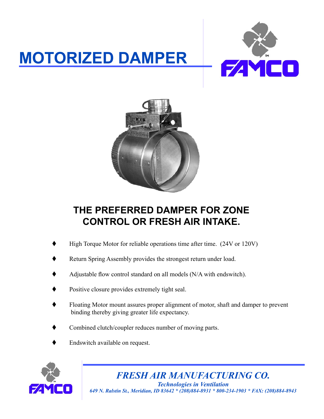## **MOTORIZED DAMPER**





## **THE PREFERRED DAMPER FOR ZONE CONTROL OR FRESH AIR INTAKE.**

- High Torque Motor for reliable operations time after time. (24V or 120V)
- Return Spring Assembly provides the strongest return under load.
- Adjustable flow control standard on all models (N/A with endswitch).
- Positive closure provides extremely tight seal.
- Floating Motor mount assures proper alignment of motor, shaft and damper to prevent binding thereby giving greater life expectancy.
- Combined clutch/coupler reduces number of moving parts.
- Endswitch available on request.



*FRESH AIR MANUFACTURING CO. Technologies in Ventilation 649 N. Ralstin St., Meridian, ID 83642 \* (208)884-8931 \* 800-234-1903 \* FAX: (208)884-8943*